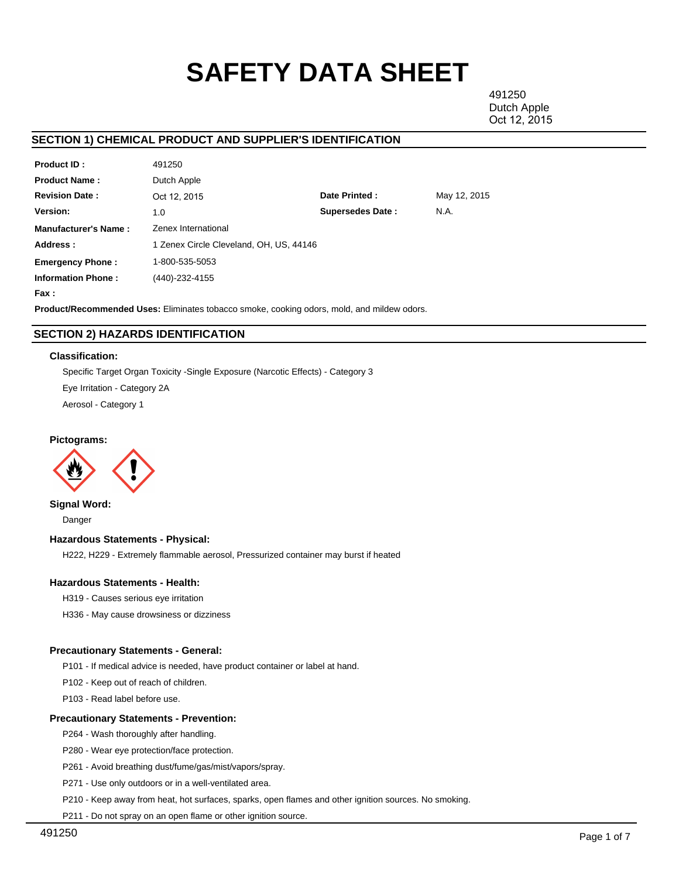# **SAFETY DATA SHEET**

491250 Dutch Apple Oct 12, 2015

# **SECTION 1) CHEMICAL PRODUCT AND SUPPLIER'S IDENTIFICATION**

| <b>Product ID:</b>          | 491250                                  |                         |              |  |  |  |
|-----------------------------|-----------------------------------------|-------------------------|--------------|--|--|--|
| <b>Product Name:</b>        | Dutch Apple                             |                         |              |  |  |  |
| <b>Revision Date:</b>       | Oct 12, 2015                            | Date Printed:           | May 12, 2015 |  |  |  |
| Version:                    | 1.0                                     | <b>Supersedes Date:</b> | N.A.         |  |  |  |
| <b>Manufacturer's Name:</b> | Zenex International                     |                         |              |  |  |  |
| Address:                    | 1 Zenex Circle Cleveland, OH, US, 44146 |                         |              |  |  |  |
| <b>Emergency Phone:</b>     | 1-800-535-5053                          |                         |              |  |  |  |
| <b>Information Phone:</b>   | (440)-232-4155                          |                         |              |  |  |  |
| Fax :                       |                                         |                         |              |  |  |  |

**Product/Recommended Uses:** Eliminates tobacco smoke, cooking odors, mold, and mildew odors.

# **SECTION 2) HAZARDS IDENTIFICATION**

## **Classification:**

Specific Target Organ Toxicity -Single Exposure (Narcotic Effects) - Category 3

Eye Irritation - Category 2A

Aerosol - Category 1

# **Pictograms:**



**Signal Word:**

Danger

# **Hazardous Statements - Physical:**

H222, H229 - Extremely flammable aerosol, Pressurized container may burst if heated

## **Hazardous Statements - Health:**

H319 - Causes serious eye irritation

H336 - May cause drowsiness or dizziness

## **Precautionary Statements - General:**

P101 - If medical advice is needed, have product container or label at hand.

P102 - Keep out of reach of children.

P103 - Read label before use.

## **Precautionary Statements - Prevention:**

P264 - Wash thoroughly after handling.

P280 - Wear eye protection/face protection.

P261 - Avoid breathing dust/fume/gas/mist/vapors/spray.

P271 - Use only outdoors or in a well-ventilated area.

P210 - Keep away from heat, hot surfaces, sparks, open flames and other ignition sources. No smoking.

P211 - Do not spray on an open flame or other ignition source.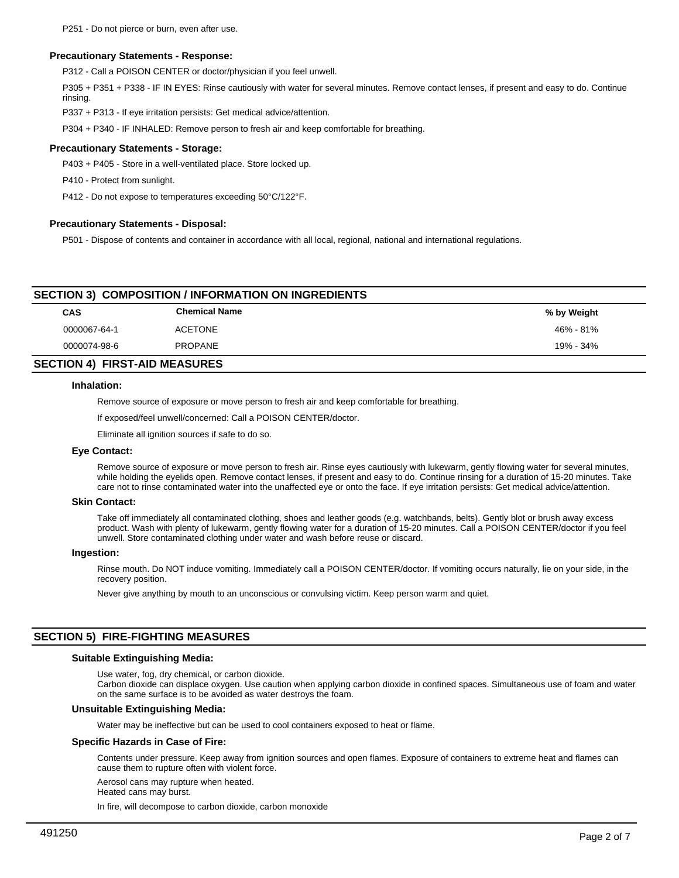## **Precautionary Statements - Response:**

P312 - Call a POISON CENTER or doctor/physician if you feel unwell.

P305 + P351 + P338 - IF IN EYES: Rinse cautiously with water for several minutes. Remove contact lenses, if present and easy to do. Continue rinsing.

P337 + P313 - If eye irritation persists: Get medical advice/attention.

P304 + P340 - IF INHALED: Remove person to fresh air and keep comfortable for breathing.

#### **Precautionary Statements - Storage:**

P403 + P405 - Store in a well-ventilated place. Store locked up.

P410 - Protect from sunlight.

P412 - Do not expose to temperatures exceeding 50°C/122°F.

#### **Precautionary Statements - Disposal:**

P501 - Dispose of contents and container in accordance with all local, regional, national and international regulations.

# **SECTION 3) COMPOSITION / INFORMATION ON INGREDIENTS**

| CAS          | <b>Chemical Name</b> | % by Weight |
|--------------|----------------------|-------------|
| 0000067-64-1 | <b>ACETONE</b>       | 46% - 81%   |
| 0000074-98-6 | <b>PROPANE</b>       | 19% - 34%   |
|              |                      |             |

# **SECTION 4) FIRST-AID MEASURES**

#### **Inhalation:**

Remove source of exposure or move person to fresh air and keep comfortable for breathing.

If exposed/feel unwell/concerned: Call a POISON CENTER/doctor.

Eliminate all ignition sources if safe to do so.

# **Eye Contact:**

Remove source of exposure or move person to fresh air. Rinse eyes cautiously with lukewarm, gently flowing water for several minutes, while holding the eyelids open. Remove contact lenses, if present and easy to do. Continue rinsing for a duration of 15-20 minutes. Take care not to rinse contaminated water into the unaffected eye or onto the face. If eye irritation persists: Get medical advice/attention.

#### **Skin Contact:**

Take off immediately all contaminated clothing, shoes and leather goods (e.g. watchbands, belts). Gently blot or brush away excess product. Wash with plenty of lukewarm, gently flowing water for a duration of 15-20 minutes. Call a POISON CENTER/doctor if you feel unwell. Store contaminated clothing under water and wash before reuse or discard.

#### **Ingestion:**

Rinse mouth. Do NOT induce vomiting. Immediately call a POISON CENTER/doctor. If vomiting occurs naturally, lie on your side, in the recovery position.

Never give anything by mouth to an unconscious or convulsing victim. Keep person warm and quiet.

# **SECTION 5) FIRE-FIGHTING MEASURES**

#### **Suitable Extinguishing Media:**

Use water, fog, dry chemical, or carbon dioxide.

Carbon dioxide can displace oxygen. Use caution when applying carbon dioxide in confined spaces. Simultaneous use of foam and water on the same surface is to be avoided as water destroys the foam.

# **Unsuitable Extinguishing Media:**

Water may be ineffective but can be used to cool containers exposed to heat or flame.

## **Specific Hazards in Case of Fire:**

Contents under pressure. Keep away from ignition sources and open flames. Exposure of containers to extreme heat and flames can cause them to rupture often with violent force.

Aerosol cans may rupture when heated.

Heated cans may burst.

In fire, will decompose to carbon dioxide, carbon monoxide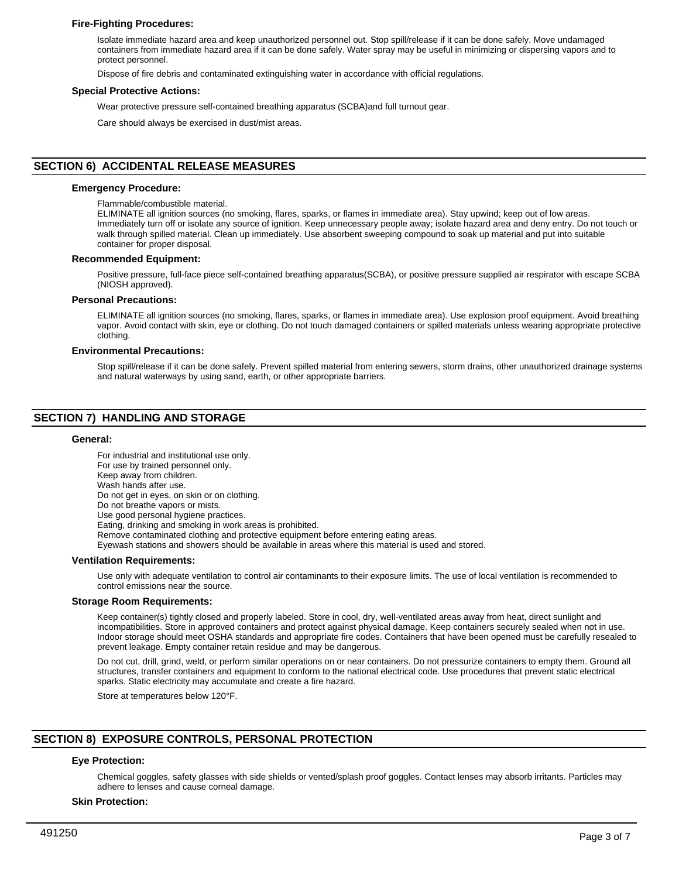# **Fire-Fighting Procedures:**

Isolate immediate hazard area and keep unauthorized personnel out. Stop spill/release if it can be done safely. Move undamaged containers from immediate hazard area if it can be done safely. Water spray may be useful in minimizing or dispersing vapors and to protect personnel.

Dispose of fire debris and contaminated extinguishing water in accordance with official regulations.

## **Special Protective Actions:**

Wear protective pressure self-contained breathing apparatus (SCBA)and full turnout gear.

Care should always be exercised in dust/mist areas.

# **SECTION 6) ACCIDENTAL RELEASE MEASURES**

## **Emergency Procedure:**

Flammable/combustible material.

ELIMINATE all ignition sources (no smoking, flares, sparks, or flames in immediate area). Stay upwind; keep out of low areas. Immediately turn off or isolate any source of ignition. Keep unnecessary people away; isolate hazard area and deny entry. Do not touch or walk through spilled material. Clean up immediately. Use absorbent sweeping compound to soak up material and put into suitable container for proper disposal.

#### **Recommended Equipment:**

Positive pressure, full-face piece self-contained breathing apparatus(SCBA), or positive pressure supplied air respirator with escape SCBA (NIOSH approved).

## **Personal Precautions:**

ELIMINATE all ignition sources (no smoking, flares, sparks, or flames in immediate area). Use explosion proof equipment. Avoid breathing vapor. Avoid contact with skin, eye or clothing. Do not touch damaged containers or spilled materials unless wearing appropriate protective clothing.

## **Environmental Precautions:**

Stop spill/release if it can be done safely. Prevent spilled material from entering sewers, storm drains, other unauthorized drainage systems and natural waterways by using sand, earth, or other appropriate barriers.

# **SECTION 7) HANDLING AND STORAGE**

#### **General:**

For industrial and institutional use only. For use by trained personnel only. Keep away from children. Wash hands after use. Do not get in eyes, on skin or on clothing. Do not breathe vapors or mists. Use good personal hygiene practices. Eating, drinking and smoking in work areas is prohibited. Remove contaminated clothing and protective equipment before entering eating areas. Eyewash stations and showers should be available in areas where this material is used and stored. **Ventilation Requirements:**

Use only with adequate ventilation to control air contaminants to their exposure limits. The use of local ventilation is recommended to control emissions near the source.

#### **Storage Room Requirements:**

Keep container(s) tightly closed and properly labeled. Store in cool, dry, well-ventilated areas away from heat, direct sunlight and incompatibilities. Store in approved containers and protect against physical damage. Keep containers securely sealed when not in use. Indoor storage should meet OSHA standards and appropriate fire codes. Containers that have been opened must be carefully resealed to prevent leakage. Empty container retain residue and may be dangerous.

Do not cut, drill, grind, weld, or perform similar operations on or near containers. Do not pressurize containers to empty them. Ground all structures, transfer containers and equipment to conform to the national electrical code. Use procedures that prevent static electrical sparks. Static electricity may accumulate and create a fire hazard.

Store at temperatures below 120°F.

# **SECTION 8) EXPOSURE CONTROLS, PERSONAL PROTECTION**

# **Eye Protection:**

Chemical goggles, safety glasses with side shields or vented/splash proof goggles. Contact lenses may absorb irritants. Particles may adhere to lenses and cause corneal damage.

#### **Skin Protection:**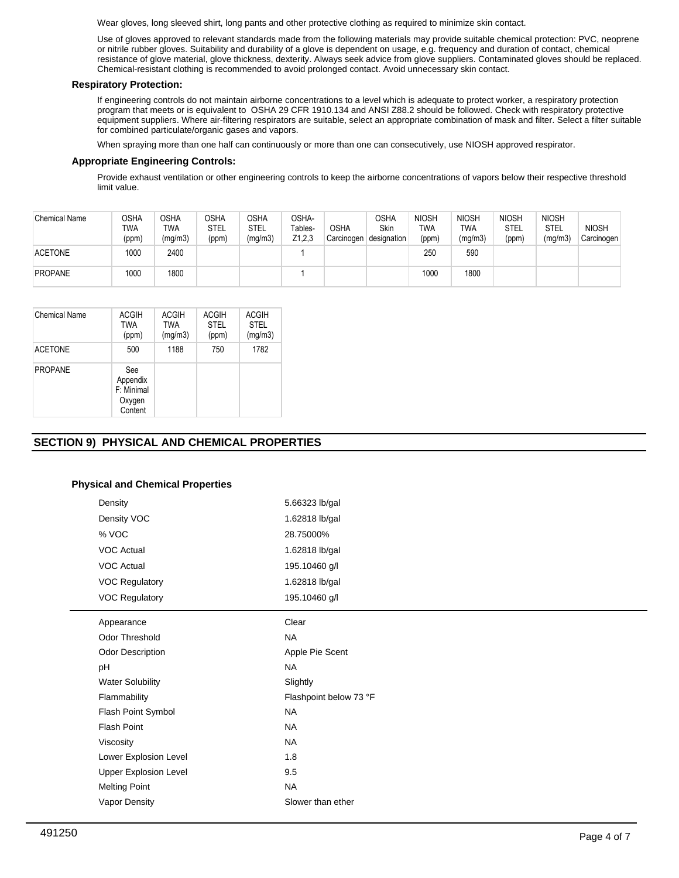Wear gloves, long sleeved shirt, long pants and other protective clothing as required to minimize skin contact.

Use of gloves approved to relevant standards made from the following materials may provide suitable chemical protection: PVC, neoprene or nitrile rubber gloves. Suitability and durability of a glove is dependent on usage, e.g. frequency and duration of contact, chemical resistance of glove material, glove thickness, dexterity. Always seek advice from glove suppliers. Contaminated gloves should be replaced. Chemical-resistant clothing is recommended to avoid prolonged contact. Avoid unnecessary skin contact.

# **Respiratory Protection:**

If engineering controls do not maintain airborne concentrations to a level which is adequate to protect worker, a respiratory protection program that meets or is equivalent to OSHA 29 CFR 1910.134 and ANSI Z88.2 should be followed. Check with respiratory protective equipment suppliers. Where air-filtering respirators are suitable, select an appropriate combination of mask and filter. Select a filter suitable for combined particulate/organic gases and vapors.

When spraying more than one half can continuously or more than one can consecutively, use NIOSH approved respirator.

# **Appropriate Engineering Controls:**

Provide exhaust ventilation or other engineering controls to keep the airborne concentrations of vapors below their respective threshold limit value.

| <b>Chemical Name</b> | OSHA<br>TWA<br>(ppm) | OSHA<br>TWA<br>(mg/m3) | <b>OSHA</b><br><b>STEL</b><br>(ppm) | OSHA<br><b>STEL</b><br>(mg/m3) | OSHA-<br>Tables-<br>Z1,2,3 | <b>OSHA</b><br>Carcinogen | <b>OSHA</b><br>Skin<br>designation | <b>NIOSH</b><br><b>TWA</b><br>(ppm) | <b>NIOSH</b><br>TWA<br>(mg/m3) | <b>NIOSH</b><br>STEL<br>(ppm) | <b>NIOSH</b><br>STEL<br>(mg/m3) | <b>NIOSH</b><br>Carcinogen |
|----------------------|----------------------|------------------------|-------------------------------------|--------------------------------|----------------------------|---------------------------|------------------------------------|-------------------------------------|--------------------------------|-------------------------------|---------------------------------|----------------------------|
| <b>ACETONE</b>       | 1000                 | 2400                   |                                     |                                |                            |                           |                                    | 250                                 | 590                            |                               |                                 |                            |
| <b>PROPANE</b>       | 1000                 | 1800                   |                                     |                                |                            |                           |                                    | 1000                                | 1800                           |                               |                                 |                            |

| Chemical Name  | ACGIH<br>TWA<br>(ppm)                              | <b>ACGIH</b><br><b>TWA</b><br>(mg/m3) | <b>ACGIH</b><br><b>STEL</b><br>(ppm) | <b>ACGIH</b><br><b>STEL</b><br>(mg/m3) |
|----------------|----------------------------------------------------|---------------------------------------|--------------------------------------|----------------------------------------|
| <b>ACETONE</b> | 500                                                | 1188                                  | 750                                  | 1782                                   |
| <b>PROPANE</b> | See<br>Appendix<br>F: Minimal<br>Oxygen<br>Content |                                       |                                      |                                        |

# **SECTION 9) PHYSICAL AND CHEMICAL PROPERTIES**

# **Physical and Chemical Properties**

| Density                      | 5.66323 lb/gal         |
|------------------------------|------------------------|
| Density VOC                  | 1.62818 lb/gal         |
| % VOC                        | 28.75000%              |
| <b>VOC Actual</b>            | 1.62818 lb/gal         |
| <b>VOC Actual</b>            | 195.10460 g/l          |
| <b>VOC Regulatory</b>        | 1.62818 lb/gal         |
| <b>VOC Regulatory</b>        | 195.10460 g/l          |
| Appearance                   | Clear                  |
| <b>Odor Threshold</b>        | <b>NA</b>              |
| <b>Odor Description</b>      | Apple Pie Scent        |
| pH                           | <b>NA</b>              |
| <b>Water Solubility</b>      | Slightly               |
| Flammability                 | Flashpoint below 73 °F |
| Flash Point Symbol           | <b>NA</b>              |
| <b>Flash Point</b>           | <b>NA</b>              |
| Viscosity                    | <b>NA</b>              |
| Lower Explosion Level        | 1.8                    |
| <b>Upper Explosion Level</b> | 9.5                    |
| <b>Melting Point</b>         | <b>NA</b>              |
| Vapor Density                | Slower than ether      |
|                              |                        |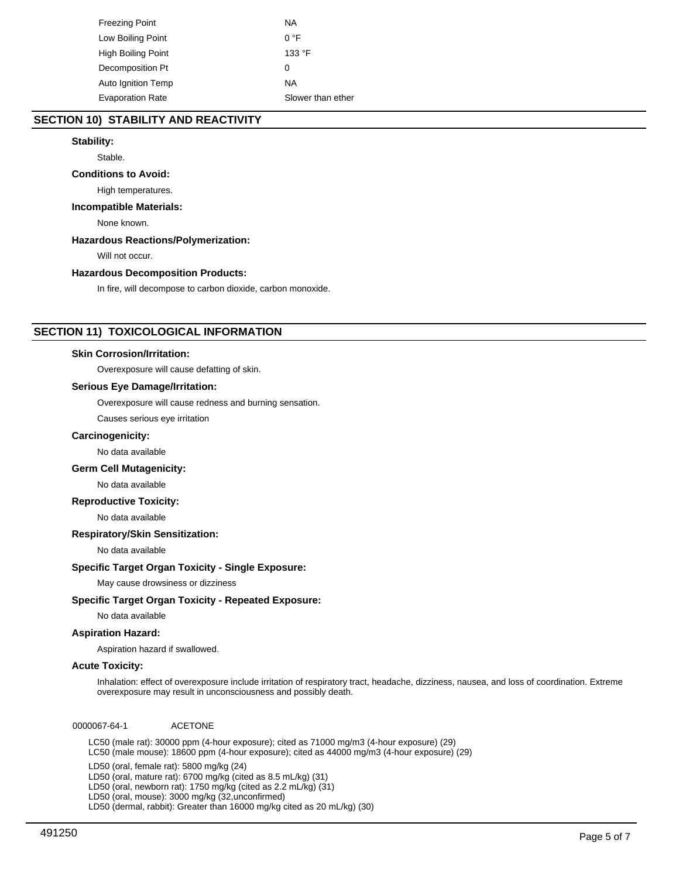| Freezing Point            | ΝA                |
|---------------------------|-------------------|
| Low Boiling Point         | $0^{\circ}$ F     |
| High Boiling Point        | 133 °F            |
| Decomposition Pt          | 0                 |
| <b>Auto Ignition Temp</b> | ΝA                |
| <b>Evaporation Rate</b>   | Slower than ether |

# **SECTION 10) STABILITY AND REACTIVITY**

# **Stability:**

Stable.

# **Conditions to Avoid:**

High temperatures.

# **Incompatible Materials:**

None known.

## **Hazardous Reactions/Polymerization:**

Will not occur.

## **Hazardous Decomposition Products:**

In fire, will decompose to carbon dioxide, carbon monoxide.

# **SECTION 11) TOXICOLOGICAL INFORMATION**

## **Skin Corrosion/Irritation:**

Overexposure will cause defatting of skin.

## **Serious Eye Damage/Irritation:**

Overexposure will cause redness and burning sensation.

Causes serious eye irritation

## **Carcinogenicity:**

No data available

# **Germ Cell Mutagenicity:**

No data available

## **Reproductive Toxicity:**

No data available

# **Respiratory/Skin Sensitization:**

No data available

# **Specific Target Organ Toxicity - Single Exposure:**

May cause drowsiness or dizziness

# **Specific Target Organ Toxicity - Repeated Exposure:**

No data available

# **Aspiration Hazard:**

Aspiration hazard if swallowed.

## **Acute Toxicity:**

Inhalation: effect of overexposure include irritation of respiratory tract, headache, dizziness, nausea, and loss of coordination. Extreme overexposure may result in unconsciousness and possibly death.

0000067-64-1 ACETONE

LC50 (male rat): 30000 ppm (4-hour exposure); cited as 71000 mg/m3 (4-hour exposure) (29) LC50 (male mouse): 18600 ppm (4-hour exposure); cited as 44000 mg/m3 (4-hour exposure) (29)

LD50 (oral, female rat): 5800 mg/kg (24)

LD50 (oral, mature rat): 6700 mg/kg (cited as 8.5 mL/kg) (31)

LD50 (oral, newborn rat): 1750 mg/kg (cited as 2.2 mL/kg) (31)

LD50 (oral, mouse): 3000 mg/kg (32,unconfirmed)

LD50 (dermal, rabbit): Greater than 16000 mg/kg cited as 20 mL/kg) (30)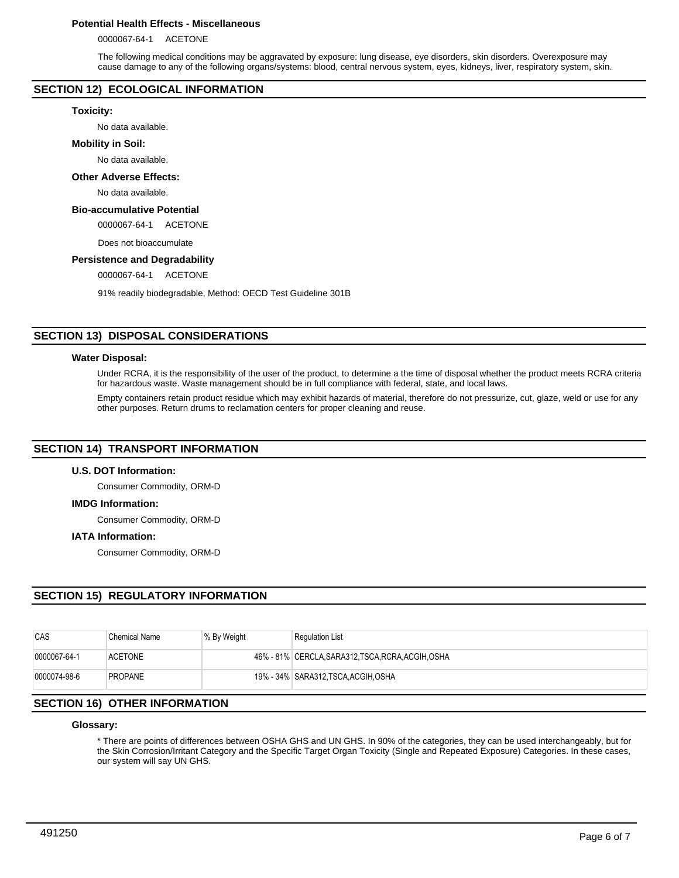# **Potential Health Effects - Miscellaneous**

0000067-64-1 ACETONE

The following medical conditions may be aggravated by exposure: lung disease, eye disorders, skin disorders. Overexposure may cause damage to any of the following organs/systems: blood, central nervous system, eyes, kidneys, liver, respiratory system, skin.

# **SECTION 12) ECOLOGICAL INFORMATION**

## **Toxicity:**

No data available.

## **Mobility in Soil:**

No data available.

# **Other Adverse Effects:**

No data available.

# **Bio-accumulative Potential**

0000067-64-1 ACETONE

Does not bioaccumulate

## **Persistence and Degradability**

0000067-64-1 ACETONE

91% readily biodegradable, Method: OECD Test Guideline 301B

# **SECTION 13) DISPOSAL CONSIDERATIONS**

## **Water Disposal:**

Under RCRA, it is the responsibility of the user of the product, to determine a the time of disposal whether the product meets RCRA criteria for hazardous waste. Waste management should be in full compliance with federal, state, and local laws.

Empty containers retain product residue which may exhibit hazards of material, therefore do not pressurize, cut, glaze, weld or use for any other purposes. Return drums to reclamation centers for proper cleaning and reuse.

# **SECTION 14) TRANSPORT INFORMATION**

# **U.S. DOT Information:**

Consumer Commodity, ORM-D

## **IMDG Information:**

Consumer Commodity, ORM-D

# **IATA Information:**

Consumer Commodity, ORM-D

# **SECTION 15) REGULATORY INFORMATION**

| CAS          | Chemical Name  | % By Weight | <b>Regulation List</b>                             |
|--------------|----------------|-------------|----------------------------------------------------|
| 0000067-64-1 | <b>ACETONE</b> |             | 46% - 81% CERCLA, SARA312, TSCA, RCRA, ACGIH, OSHA |
| 0000074-98-6 | <b>PROPANE</b> |             | 19% - 34% SARA312, TSCA, ACGIH, OSHA               |

# **SECTION 16) OTHER INFORMATION**

## **Glossary:**

\* There are points of differences between OSHA GHS and UN GHS. In 90% of the categories, they can be used interchangeably, but for the Skin Corrosion/Irritant Category and the Specific Target Organ Toxicity (Single and Repeated Exposure) Categories. In these cases, our system will say UN GHS.